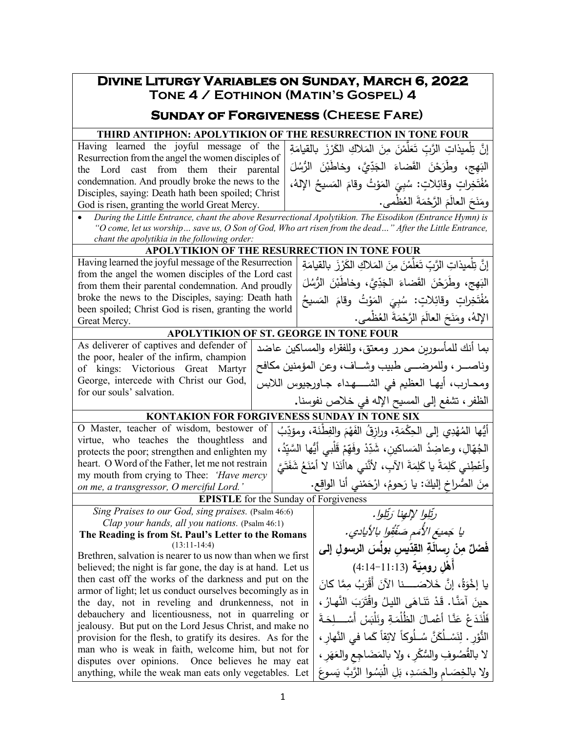## **Divine Liturgy Variables on Sunday, March 6, 2022 Tone 4 / Eothinon (Matin's Gospel) 4 Sunday of Forgiveness (Cheese Fare)**

**THIRD ANTIPHON: APOLYTIKION OF THE RESURRECTION IN TONE FOUR**

Having learned the joyful message of the Resurrection from the angel the women disciples of the Lord cast from them their parental condemnation. And proudly broke the news to the Disciples, saying: Death hath been spoiled; Christ God is risen, granting the world Great Mercy.

ِ َة َ �الق�ام ْ ز َر َ ِلاك الك َ الم ِن َ م ْن َّم ل َ َع ِ ت ّ ْل ِ میذات َّ الرب ِ َّ إن ت البَهِج، وطَرَحْنَ القَضاءَ الجَدِّيَّ، وخاطَبْنَ الرُّسُلَ<br>'' .<br>. مُفْتَخِراتٍ وقائِلاتٍ: سُبِيَ المَوْتُ وقامَ المَسيحُ الإِلهُ،<br>مَفْتَخِراتِ وقائِلاتٍ: سُبِيَ المَوْتُ وقامَ المَسيحُ الإِلهُ، <u>َ</u> ومَنَحَ العالمَ الرَّحْمَةَ العُظمى.<br>مستقدمة َ

• *During the Little Entrance, chant the above Resurrectional Apolytikion. The Eisodikon (Entrance Hymn) is "O come, let us worship… save us, O Son of God, Who art risen from the dead…" After the Little Entrance, chant the apolytikia in the following order:*

## **APOLYTIKION OF THE RESURRECTION IN TONE FOUR**

Having learned the joyful message of the Resurrection from the angel the women disciples of the Lord cast from them their parental condemnation. And proudly broke the news to the Disciples, saying: Death hath been spoiled; Christ God is risen, granting the world Great Mercy.

إِنَّ تِلْميذاتِ الرَّبِّ تَعَلَّمْنَ مِنَ المَلاكِ الكَرْزَ بالقيامَةِ البَهِج، وطَرَحْنَ القَضاءَ الجَدِّيَّ، وخاطَبْنَ الرُّسُلَ<br>' .<br>. مُفْتَخِراتٍ وقائِلاتٍ: سُبِيَ المَوْتُ وقامَ المَسيحُ<br>سنة مُسمَن سند الصَّاشَة وتَبايد ذُ <u>َ</u> ُ الإ ْظمى َ َة الع ْم َ َّ الرح َم َ العال َح ن َ له . ،ُ وم

وناصـــــــر، وللمرضـــــــى طبیب وشـــــــاف، وعن المؤمنین مكافح ومحــارب، أيهـا العظيم في الشـــــهـداء جــاورجيوس اللابس

أَيُّها المُهْدِي إلى الحِكْمَةِ، ورازِقُ الفَهْمَ والفِطْنَة، ومؤدِّبُ<br>منصوبات ،ُ ِد ّ َْل ُّ بي أی َّ ها السی ْ ق ِم ّ َه ْ وف ِد ّ َ ِ ساكین َ ، شد ُ الم ّ ِال ِ ، وعاضد ُه الج وأعْطِني كَلِمَةً يا كَلِمَةَ الآبِ، لأَنَّني هاأنَذا لا أمْنَعُ شَفَتَيَّ

## **APOLYTIKION OF ST. GEORGE IN TONE FOUR** �ما أنك للمأسـور�ن محرر ومعتق، وللفقراء والمسـاكین عاضد

As deliverer of captives and defender of the poor, healer of the infirm, champion of kings: Victorious Great Martyr George, intercede with Christ our God, for our souls' salvation.

## الظفر، تشفع إلى المس�ح الإله في خلاص نفوسنا**. KONTAKION FOR FORGIVENESS SUNDAY IN TONE SIX**

ا<br>ا

O Master, teacher of wisdom, bestower of virtue, who teaches the thoughtless and protects the poor; strengthen and enlighten my heart. O Word of the Father, let me not restrain my mouth from crying to Thee: *'Have mercy on me, a transgressor, O merciful Lord.'*

**EPISTLE** for the Sunday of Forgiveness

*Sing Praises to our God, sing praises.* (Psalm 46:6) *Clap your hands, all you nations.* (Psalm 46:1)

**The Reading is from St. Paul's Letter to the Romans** (13:11-14:4)

Brethren, salvation is nearer to us now than when we first believed; the night is far gone, the day is at hand. Let us then cast off the works of the darkness and put on the armor of light; let us conduct ourselves becomingly as in the day, not in reveling and drunkenness, not in debauchery and licentiousness, not in quarreling or jealousy. But put on the Lord Jesus Christ, and make no provision for the flesh, to gratify its desires. As for the man who is weak in faith, welcome him, but not for disputes over opinions. Once believes he may eat anything, while the weak man eats only vegetables. Let

مِنَ الصُّراخِ إليكَ: يا رَحومُ، ارْحَمْني أنا الواقِعِ.<br>مَسَ رتِّلِوا لإلهِنا رَتِّلِوا. يَقْقِول ا يا جَميعَ الأُمَمِ صَفْقُول بالأيادي. **ّ ِ �س ُ بول َس ِ الرسول إلى ِد ِ الق ْن ِ ر َسالة ِ ٌ م َف ْصل َة ِل ِ روم� َه** (4:14-11:13) **ْ أ** َ ِ َّما �ان ُ م َب ْر َ أَق َلاصـــــــــــــ َ نا الآن ُ َّ ، إن خ ة َ �ا إخو .<br>أ حينَ آمَنَّـا. قَدْ تَنَـاهَى الليـلُ واقْتَرَبَ النَّهـارُ ،<br>. فَلْذَذَعْ عَنَّـا أَعْمـالَ الظُلْمَةِ ونَلْبَسْ أَسْــــلِحَةَ النُّوْرِ . لِنَسْـلُكَنَّ سُـلُوكاً لائِقاً كَما في النَّهارِ ،<br>. لا بالقُصُوفِ والسُّكْرِ ، ولا بالمَضَاجِعِ والعَهَرِ ، ولا بالخِصَـامِ والحَسَدِ، بَلِ الْبَسُـوا الرَّبَّ يَسوعَ

ْ